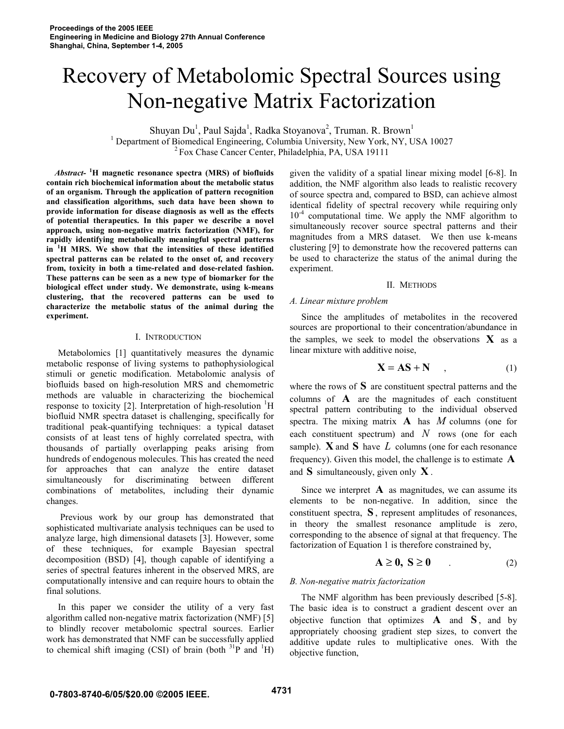# Recovery of Metabolomic Spectral Sources using Non-negative Matrix Factorization

Shuyan Du<sup>1</sup>, Paul Sajda<sup>1</sup>, Radka Stoyanova<sup>2</sup>, Truman. R. Brown<sup>1</sup> <sup>1</sup> Department of Biomedical Engineering, Columbia University, New York, NY, USA 10027 <sup>2</sup> Fox Chase Cancer Center, Philadelphia, PA, USA 19111

 *Abstract-* **<sup>1</sup> H magnetic resonance spectra (MRS) of biofluids contain rich biochemical information about the metabolic status of an organism. Through the application of pattern recognition and classification algorithms, such data have been shown to provide information for disease diagnosis as well as the effects of potential therapeutics. In this paper we describe a novel approach, using non-negative matrix factorization (NMF), for rapidly identifying metabolically meaningful spectral patterns in <sup>1</sup> H MRS. We show that the intensities of these identified spectral patterns can be related to the onset of, and recovery from, toxicity in both a time-related and dose-related fashion. These patterns can be seen as a new type of biomarker for the biological effect under study. We demonstrate, using k-means clustering, that the recovered patterns can be used to characterize the metabolic status of the animal during the experiment.** 

#### I. INTRODUCTION

 Metabolomics [1] quantitatively measures the dynamic metabolic response of living systems to pathophysiological stimuli or genetic modification. Metabolomic analysis of biofluids based on high-resolution MRS and chemometric methods are valuable in characterizing the biochemical response to toxicity [2]. Interpretation of high-resolution  ${}^{1}H$ biofluid NMR spectra dataset is challenging, specifically for traditional peak-quantifying techniques: a typical dataset consists of at least tens of highly correlated spectra, with thousands of partially overlapping peaks arising from hundreds of endogenous molecules. This has created the need for approaches that can analyze the entire dataset simultaneously for discriminating between different combinations of metabolites, including their dynamic changes.

Previous work by our group has demonstrated that sophisticated multivariate analysis techniques can be used to analyze large, high dimensional datasets [3]. However, some of these techniques, for example Bayesian spectral decomposition (BSD) [4], though capable of identifying a series of spectral features inherent in the observed MRS, are computationally intensive and can require hours to obtain the final solutions.

 In this paper we consider the utility of a very fast algorithm called non-negative matrix factorization (NMF) [5] to blindly recover metabolomic spectral sources. Earlier work has demonstrated that NMF can be successfully applied to chemical shift imaging (CSI) of brain (both  $^{31}P$  and  $^{1}H$ )

given the validity of a spatial linear mixing model [6-8]. In addition, the NMF algorithm also leads to realistic recovery of source spectra and, compared to BSD, can achieve almost identical fidelity of spectral recovery while requiring only  $10^{-4}$  computational time. We apply the NMF algorithm to simultaneously recover source spectral patterns and their magnitudes from a MRS dataset. We then use k-means clustering [9] to demonstrate how the recovered patterns can be used to characterize the status of the animal during the experiment.

## II. METHODS

## *A. Linear mixture problem*

 Since the amplitudes of metabolites in the recovered sources are proportional to their concentration/abundance in the samples, we seek to model the observations  $X$  as a linear mixture with additive noise,

$$
X = AS + N \qquad , \tag{1}
$$

where the rows of **S** are constituent spectral patterns and the columns of **A** are the magnitudes of each constituent spectral pattern contributing to the individual observed spectra. The mixing matrix **A** has *M* columns (one for each constituent spectrum) and *N* rows (one for each sample). **X** and **S** have *L* columns (one for each resonance frequency). Given this model, the challenge is to estimate **A** and **S** simultaneously, given only **X** .

Since we interpret  $\bf{A}$  as magnitudes, we can assume its elements to be non-negative. In addition, since the constituent spectra, **S** , represent amplitudes of resonances, in theory the smallest resonance amplitude is zero, corresponding to the absence of signal at that frequency. The factorization of Equation 1 is therefore constrained by,

$$
A \ge 0, S \ge 0 \tag{2}
$$

## *B. Non-negative matrix factorization*

 The NMF algorithm has been previously described [5-8]. The basic idea is to construct a gradient descent over an objective function that optimizes  $\bf{A}$  and  $\bf{S}$ , and by appropriately choosing gradient step sizes, to convert the additive update rules to multiplicative ones. With the objective function,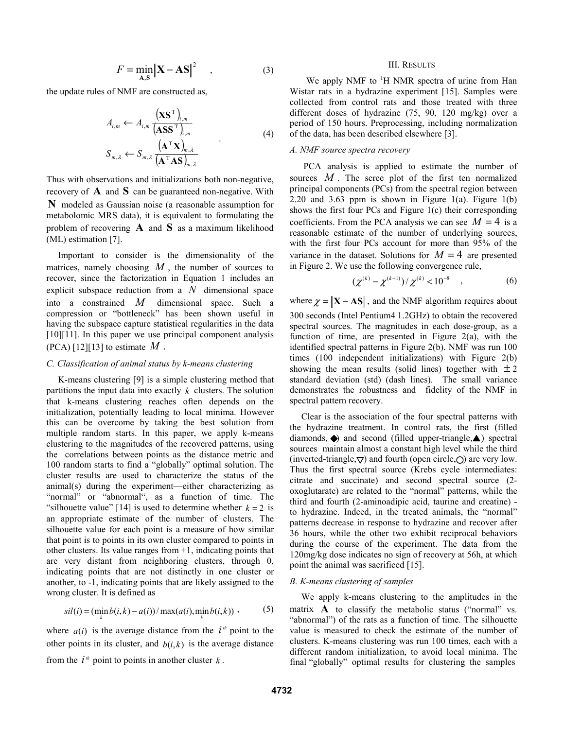$$
F = \min_{\mathbf{A}, \mathbf{S}} \|\mathbf{X} - \mathbf{A}\mathbf{S}\|^2 \quad , \tag{3}
$$

the update rules of NMF are constructed as,

$$
A_{i,m} \leftarrow A_{i,m} \frac{(\mathbf{X}\mathbf{S}^{\mathrm{T}})_{i,m}}{(\mathbf{A}\mathbf{S}\mathbf{S}^{\mathrm{T}})_{i,m}}
$$
  
\n
$$
S_{m,\lambda} \leftarrow S_{m,\lambda} \frac{(\mathbf{A}^{\mathrm{T}}\mathbf{X})_{m,\lambda}}{(\mathbf{A}^{\mathrm{T}}\mathbf{A}\mathbf{S})_{m,\lambda}}
$$
 (4)

Thus with observations and initializations both non-negative, recovery of **A** and **S** can be guaranteed non-negative. With **N** modeled as Gaussian noise (a reasonable assumption for metabolomic MRS data), it is equivalent to formulating the problem of recovering **A** and **S** as a maximum likelihood (ML) estimation [7].

 Important to consider is the dimensionality of the matrices, namely choosing  $M$ , the number of sources to recover, since the factorization in Equation 1 includes an explicit subspace reduction from a *N* dimensional space into a constrained *M* dimensional space. Such a compression or "bottleneck" has been shown useful in having the subspace capture statistical regularities in the data [10][11]. In this paper we use principal component analysis  $(PCA)$  [12][13] to estimate  $M$ .

## *C. Classification of animal status by k-means clustering*

 K-means clustering [9] is a simple clustering method that partitions the input data into exactly  $k$  clusters. The solution that k-means clustering reaches often depends on the initialization, potentially leading to local minima. However this can be overcome by taking the best solution from multiple random starts. In this paper, we apply k-means clustering to the magnitudes of the recovered patterns, using the correlations between points as the distance metric and 100 random starts to find a "globally" optimal solution. The cluster results are used to characterize the status of the animal(s) during the experiment—either characterizing as "normal" or "abnormal", as a function of time. The "silhouette value" [14] is used to determine whether  $k = 2$  is an appropriate estimate of the number of clusters. The silhouette value for each point is a measure of how similar that point is to points in its own cluster compared to points in other clusters. Its value ranges from +1, indicating points that are very distant from neighboring clusters, through 0, indicating points that are not distinctly in one cluster or another, to -1, indicating points that are likely assigned to the wrong cluster. It is defined as

$$
sil(i) = (\min_{k} b(i,k) - a(i)) / \max(a(i), \min_{k} b(i,k)) ,
$$
 (5)

where  $a(i)$  is the average distance from the  $i^{\#}$  point to the other points in its cluster, and  $b(i, k)$  is the average distance

from the  $i^{\mu}$  point to points in another cluster  $k$ .

# III. RESULTS

We apply NMF to  ${}^{1}H$  NMR spectra of urine from Han Wistar rats in a hydrazine experiment [15]. Samples were collected from control rats and those treated with three different doses of hydrazine (75, 90, 120 mg/kg) over a period of 150 hours. Preprocessing, including normalization of the data, has been described elsewhere [3].

# *A. NMF source spectra recovery*

 PCA analysis is applied to estimate the number of sources *M* . The scree plot of the first ten normalized principal components (PCs) from the spectral region between 2.20 and 3.63 ppm is shown in Figure 1(a). Figure 1(b) shows the first four PCs and Figure 1(c) their corresponding coefficients. From the PCA analysis we can see  $M = 4$  is a reasonable estimate of the number of underlying sources, with the first four PCs account for more than 95% of the variance in the dataset. Solutions for  $M = 4$  are presented in Figure 2. We use the following convergence rule,

$$
(\chi^{(k)} - \chi^{(k+1)}) / \chi^{(k)} < 10^{-8} \quad , \tag{6}
$$

where  $\chi = \|X - AS\|$ , and the NMF algorithm requires about 300 seconds (Intel Pentium4 1.2GHz) to obtain the recovered spectral sources. The magnitudes in each dose-group, as a function of time, are presented in Figure  $2(a)$ , with the identified spectral patterns in Figure 2(b). NMF was run 100 times (100 independent initializations) with Figure 2(b) showing the mean results (solid lines) together with  $\pm 2$ standard deviation (std) (dash lines). The small variance demonstrates the robustness and fidelity of the NMF in spectral pattern recovery.

 Clear is the association of the four spectral patterns with the hydrazine treatment. In control rats, the first (filled diamonds,  $\blacklozenge$  and second (filled upper-triangle,  $\blacktriangle$ ) spectral sources maintain almost a constant high level while the third (inverted-triangle,  $\nabla$ ) and fourth (open circle,  $\nabla$ ) are very low. Thus the first spectral source (Krebs cycle intermediates: citrate and succinate) and second spectral source (2 oxoglutarate) are related to the "normal" patterns, while the third and fourth (2-aminoadipic acid, taurine and creatine) to hydrazine. Indeed, in the treated animals, the "normal" patterns decrease in response to hydrazine and recover after 36 hours, while the other two exhibit reciprocal behaviors during the course of the experiment. The data from the 120mg/kg dose indicates no sign of recovery at 56h, at which point the animal was sacrificed [15].

## *B. K-means clustering of samples*

 We apply k-means clustering to the amplitudes in the matrix  $\bf{A}$  to classify the metabolic status ("normal" vs. "abnormal") of the rats as a function of time. The silhouette value is measured to check the estimate of the number of clusters. K-means clustering was run 100 times, each with a different random initialization, to avoid local minima. The final "globally" optimal results for clustering the samples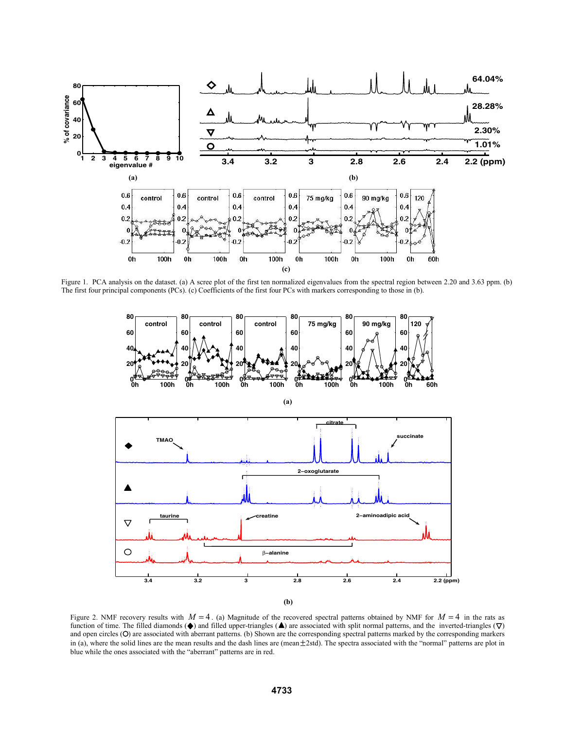

Figure 1. PCA analysis on the dataset. (a) A scree plot of the first ten normalized eigenvalues from the spectral region between 2.20 and 3.63 ppm. (b) The first four principal components (PCs). (c) Coefficients of the first four PCs with markers corresponding to those in (b).



Figure 2. NMF recovery results with  $M = 4$ . (a) Magnitude of the recovered spectral patterns obtained by NMF for  $M = 4$  in the rats as function of time. The filled diamonds ( $\blacklozenge$ ) and filled upper-triangles ( $\blacktriangle$ ) are associated with split normal patterns, and the inverted-triangles ( $\nabla$ ) and open circles (O) are associated with aberrant patterns. (b) Shown are the corresponding spectral patterns marked by the corresponding markers in (a), where the solid lines are the mean results and the dash lines are (mean  $\pm$ 2std). The spectra associated with the "normal" patterns are plot in blue while the ones associated with the "aberrant" patterns are in red.